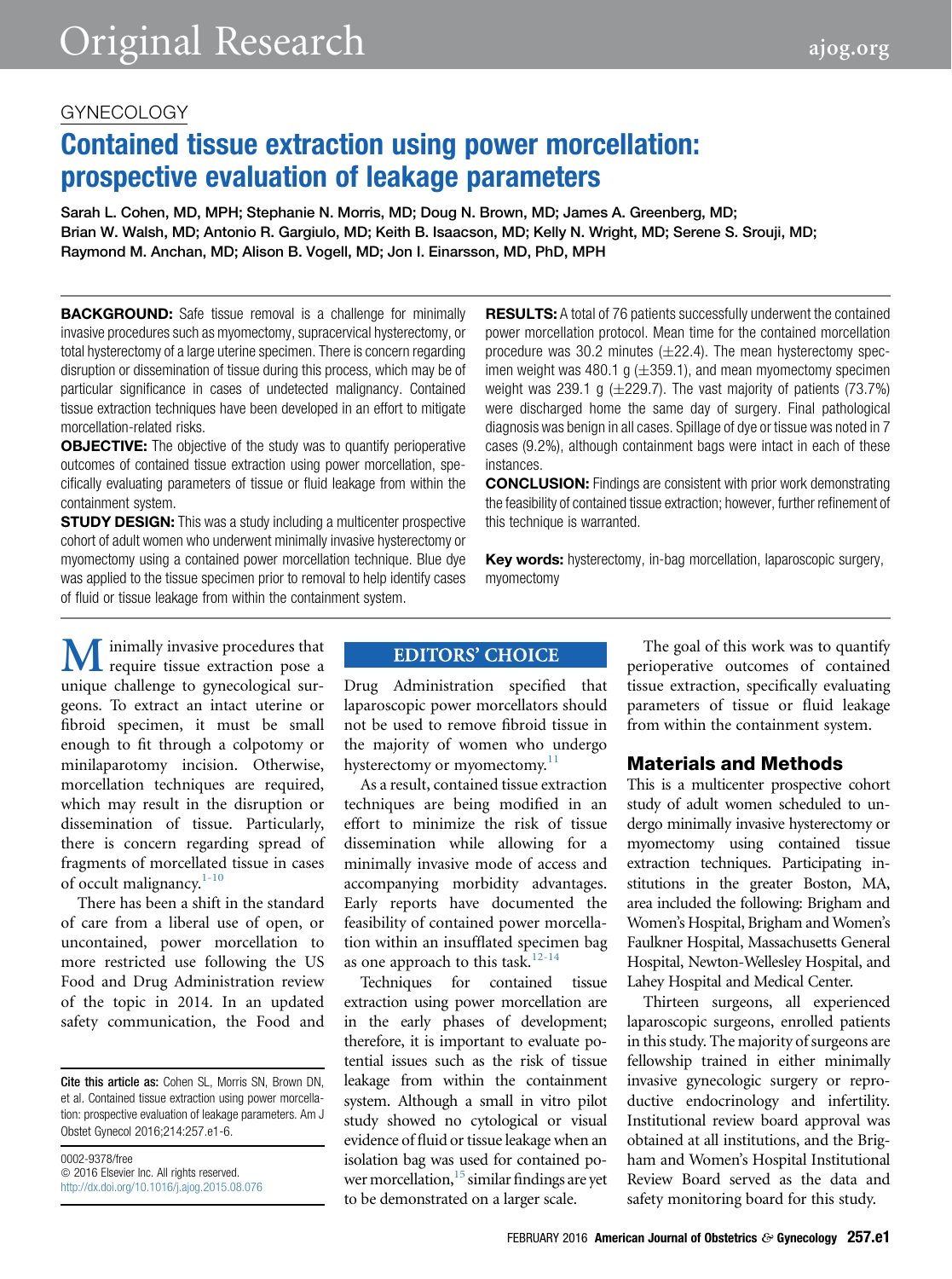# GYNECOLOGY

# Contained tissue extraction using power morcellation: prospective evaluation of leakage parameters

Sarah L. Cohen, MD, MPH; Stephanie N. Morris, MD; Doug N. Brown, MD; James A. Greenberg, MD; Brian W. Walsh, MD; Antonio R. Gargiulo, MD; Keith B. Isaacson, MD; Kelly N. Wright, MD; Serene S. Srouji, MD; Raymond M. Anchan, MD; Alison B. Vogell, MD; Jon I. Einarsson, MD, PhD, MPH

**BACKGROUND:** Safe tissue removal is a challenge for minimally invasive procedures such as myomectomy, supracervical hysterectomy, or total hysterectomy of a large uterine specimen. There is concern regarding disruption or dissemination of tissue during this process, which may be of particular significance in cases of undetected malignancy. Contained tissue extraction techniques have been developed in an effort to mitigate morcellation-related risks.

OBJECTIVE: The objective of the study was to quantify perioperative outcomes of contained tissue extraction using power morcellation, specifically evaluating parameters of tissue or fluid leakage from within the containment system.

**STUDY DESIGN:** This was a study including a multicenter prospective cohort of adult women who underwent minimally invasive hysterectomy or myomectomy using a contained power morcellation technique. Blue dye was applied to the tissue specimen prior to removal to help identify cases of fluid or tissue leakage from within the containment system.

**RESULTS:** A total of 76 patients successfully underwent the contained power morcellation protocol. Mean time for the contained morcellation procedure was 30.2 minutes  $(\pm 22.4)$ . The mean hysterectomy specimen weight was 480.1 g  $(\pm 359.1)$ , and mean myomectomy specimen weight was 239.1 g  $(\pm 229.7)$ . The vast majority of patients (73.7%) were discharged home the same day of surgery. Final pathological diagnosis was benign in all cases. Spillage of dye or tissue was noted in 7 cases (9.2%), although containment bags were intact in each of these instances.

CONCLUSION: Findings are consistent with prior work demonstrating the feasibility of contained tissue extraction; however, further refinement of this technique is warranted.

Key words: hysterectomy, in-bag morcellation, laparoscopic surgery, myomectomy

**M** inimally invasive procedures that require tissue extraction pose a unique challenge to gynecological surgeons. To extract an intact uterine or require tissue extraction pose a unique challenge to gynecological surfibroid specimen, it must be small enough to fit through a colpotomy or minilaparotomy incision. Otherwise, morcellation techniques are required, which may result in the disruption or dissemination of tissue. Particularly, there is concern regarding spread of fragments of morcellated tissue in cases of occult malignancy.<sup>[1-10](#page-5-0)</sup>

There has been a shift in the standard of care from a liberal use of open, or uncontained, power morcellation to more restricted use following the US Food and Drug Administration review of the topic in 2014. In an updated safety communication, the Food and

Cite this article as: Cohen SL, Morris SN, Brown DN, et al. Contained tissue extraction using power morcellation: prospective evaluation of leakage parameters. Am J Obstet Gynecol 2016;214:257.e1-6.

0002-9378/free  $© 2016 Elsevier Inc. All rights reserved.$ <http://dx.doi.org/10.1016/j.ajog.2015.08.076>

#### **EDITORS' CHOICE**

Drug Administration specified that laparoscopic power morcellators should not be used to remove fibroid tissue in the majority of women who undergo hysterectomy or myomectomy.<sup>[11](#page-5-0)</sup>

As a result, contained tissue extraction techniques are being modified in an effort to minimize the risk of tissue dissemination while allowing for a minimally invasive mode of access and accompanying morbidity advantages. Early reports have documented the feasibility of contained power morcellation within an insufflated specimen bag as one approach to this task. $12-14$ 

Techniques for contained tissue extraction using power morcellation are in the early phases of development; therefore, it is important to evaluate potential issues such as the risk of tissue leakage from within the containment system. Although a small in vitro pilot study showed no cytological or visual evidence of fluid or tissue leakage when an isolation bag was used for contained po-wer morcellation,<sup>[15](#page-5-0)</sup> similar findings are yet to be demonstrated on a larger scale.

The goal of this work was to quantify perioperative outcomes of contained tissue extraction, specifically evaluating parameters of tissue or fluid leakage from within the containment system.

## Materials and Methods

This is a multicenter prospective cohort study of adult women scheduled to undergo minimally invasive hysterectomy or myomectomy using contained tissue extraction techniques. Participating institutions in the greater Boston, MA, area included the following: Brigham and Women's Hospital, Brigham and Women's Faulkner Hospital, Massachusetts General Hospital, Newton-Wellesley Hospital, and Lahey Hospital and Medical Center.

Thirteen surgeons, all experienced laparoscopic surgeons, enrolled patients in this study. The majority of surgeons are fellowship trained in either minimally invasive gynecologic surgery or reproductive endocrinology and infertility. Institutional review board approval was obtained at all institutions, and the Brigham and Women's Hospital Institutional Review Board served as the data and safety monitoring board for this study.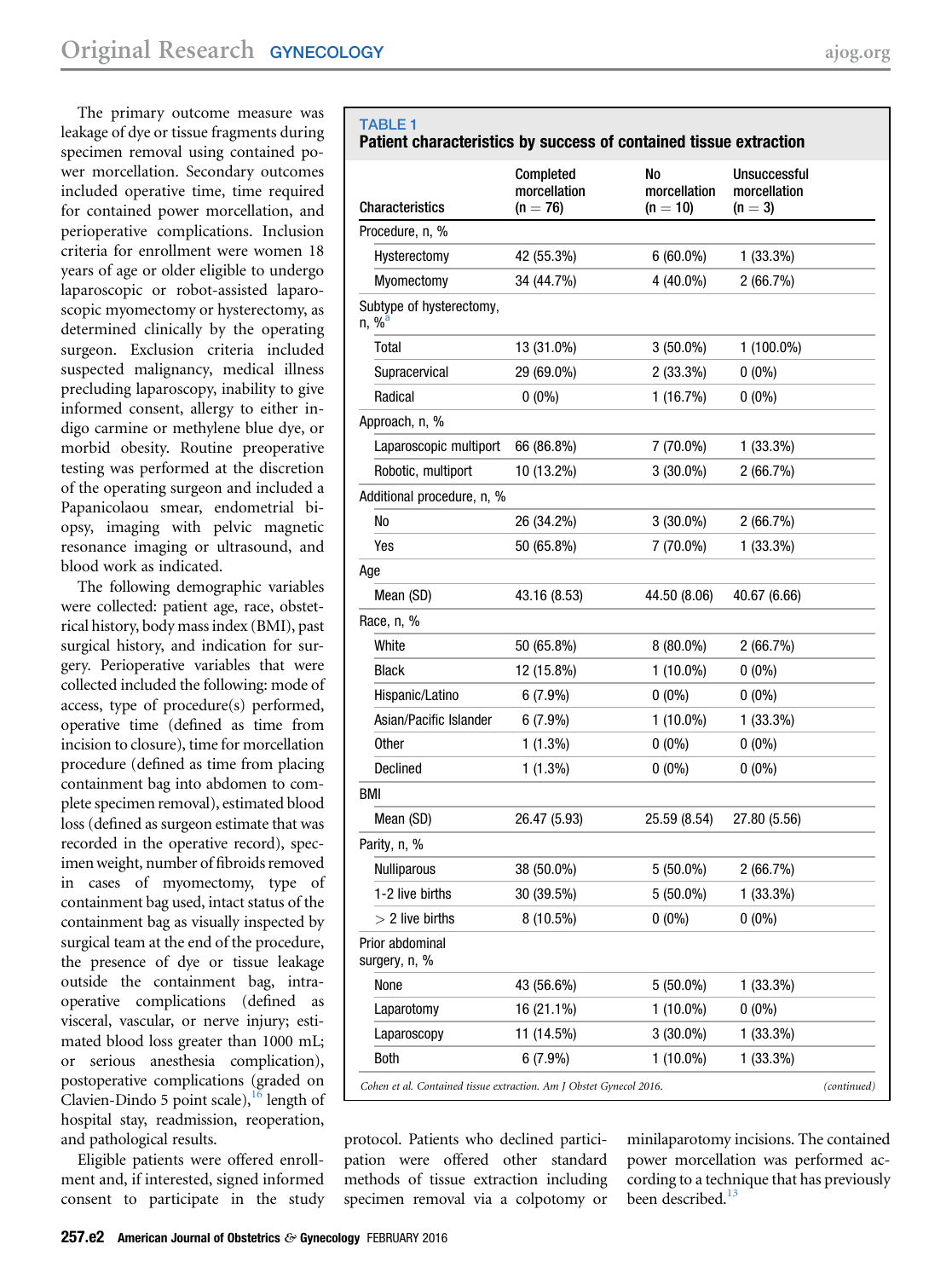<span id="page-1-0"></span>The primary outcome measure was leakage of dye or tissue fragments during specimen removal using contained power morcellation. Secondary outcomes included operative time, time required for contained power morcellation, and perioperative complications. Inclusion criteria for enrollment were women 18 years of age or older eligible to undergo laparoscopic or robot-assisted laparoscopic myomectomy or hysterectomy, as determined clinically by the operating surgeon. Exclusion criteria included suspected malignancy, medical illness precluding laparoscopy, inability to give informed consent, allergy to either indigo carmine or methylene blue dye, or morbid obesity. Routine preoperative testing was performed at the discretion of the operating surgeon and included a Papanicolaou smear, endometrial biopsy, imaging with pelvic magnetic resonance imaging or ultrasound, and blood work as indicated.

The following demographic variables were collected: patient age, race, obstetrical history, body mass index (BMI), past surgical history, and indication for surgery. Perioperative variables that were collected included the following: mode of access, type of procedure(s) performed, operative time (defined as time from incision to closure), time for morcellation procedure (defined as time from placing containment bag into abdomen to complete specimen removal), estimated blood loss (defined as surgeon estimate that was recorded in the operative record), specimen weight, number of fibroids removed in cases of myomectomy, type of containment bag used, intact status of the containment bag as visually inspected by surgical team at the end of the procedure, the presence of dye or tissue leakage outside the containment bag, intraoperative complications (defined as visceral, vascular, or nerve injury; estimated blood loss greater than 1000 mL; or serious anesthesia complication), postoperative complications (graded on Clavien-Dindo 5 point scale),  $^{16}$  $^{16}$  $^{16}$  length of hospital stay, readmission, reoperation, and pathological results.

Eligible patients were offered enrollment and, if interested, signed informed consent to participate in the study

| <b>Characteristics</b>               | morcellation<br>$(n = 76)$ | morcellation<br>$(n = 10)$ | morcellation<br>$(n = 3)$ |
|--------------------------------------|----------------------------|----------------------------|---------------------------|
| Procedure, n, %                      |                            |                            |                           |
| Hysterectomy                         | 42 (55.3%)                 | $6(60.0\%)$                | $1(33.3\%)$               |
| Myomectomy                           | 34 (44.7%)                 | 4 (40.0%)                  | 2(66.7%)                  |
| Subtype of hysterectomy,<br>$n, %^a$ |                            |                            |                           |
| Total                                | 13 (31.0%)                 | $3(50.0\%)$                | 1 (100.0%)                |
| Supracervical                        | 29 (69.0%)                 | 2(33.3%)                   | $0(0\%)$                  |
| Radical                              | $0(0\%)$                   | 1 (16.7%)                  | $0(0\%)$                  |
| Approach, n, %                       |                            |                            |                           |
| Laparoscopic multiport               | 66 (86.8%)                 | 7 (70.0%)                  | $1(33.3\%)$               |
| Robotic, multiport                   | 10 (13.2%)                 | $3(30.0\%)$                | 2(66.7%)                  |
| Additional procedure, n, %           |                            |                            |                           |
| No                                   | 26 (34.2%)                 | $3(30.0\%)$                | 2(66.7%)                  |
| Yes                                  | 50 (65.8%)                 | 7 (70.0%)                  | $1(33.3\%)$               |
| Age                                  |                            |                            |                           |
| Mean (SD)                            | 43.16 (8.53)               | 44.50 (8.06)               | 40.67 (6.66)              |
| Race, n, %                           |                            |                            |                           |
| White                                | 50 (65.8%)                 | $8(80.0\%)$                | 2(66.7%)                  |
| <b>Black</b>                         | 12 (15.8%)                 | $1(10.0\%)$                | $0(0\%)$                  |
| Hispanic/Latino                      | 6(7.9%)                    | $0(0\%)$                   | $0(0\%)$                  |
| Asian/Pacific Islander               | $6(7.9\%)$                 | $1(10.0\%)$                | $1(33.3\%)$               |
| <b>Other</b>                         | $1(1.3\%)$                 | $0(0\%)$                   | $0(0\%)$                  |

TABLE 1 Patient characteristics by success of contained tissue extraction Completed No **Unsuccessful** 

| Procedure, n, %                                                     |              |              |              |             |
|---------------------------------------------------------------------|--------------|--------------|--------------|-------------|
| Hysterectomy                                                        | 42 (55.3%)   | $6(60.0\%)$  | $1(33.3\%)$  |             |
| Myomectomy                                                          | 34 (44.7%)   | 4 (40.0%)    | 2(66.7%)     |             |
| Subtype of hysterectomy,<br>n, %                                    |              |              |              |             |
| Total                                                               | 13 (31.0%)   | $3(50.0\%)$  | $1(100.0\%)$ |             |
| Supracervical                                                       | 29 (69.0%)   | 2 (33.3%)    | $0(0\%)$     |             |
| Radical                                                             | $0(0\%)$     | 1(16.7%)     | $0(0\%)$     |             |
| Approach, n, %                                                      |              |              |              |             |
| Laparoscopic multiport                                              | 66 (86.8%)   | 7 (70.0%)    | 1(33.3%)     |             |
| Robotic, multiport                                                  | 10 (13.2%)   | $3(30.0\%)$  | 2(66.7%)     |             |
| Additional procedure, n, %                                          |              |              |              |             |
| No                                                                  | 26 (34.2%)   | $3(30.0\%)$  | 2(66.7%)     |             |
| Yes                                                                 | 50 (65.8%)   | 7 (70.0%)    | $1(33.3\%)$  |             |
| Age                                                                 |              |              |              |             |
| Mean (SD)                                                           | 43.16 (8.53) | 44.50 (8.06) | 40.67 (6.66) |             |
| Race, n, %                                                          |              |              |              |             |
| White                                                               | 50 (65.8%)   | $8(80.0\%)$  | 2(66.7%)     |             |
| <b>Black</b>                                                        | 12 (15.8%)   | $1(10.0\%)$  | $0(0\%)$     |             |
| Hispanic/Latino                                                     | 6(7.9%)      | $0(0\%)$     | $0(0\%)$     |             |
| Asian/Pacific Islander                                              | $6(7.9\%)$   | $1(10.0\%)$  | $1(33.3\%)$  |             |
| <b>Other</b>                                                        | $1(1.3\%)$   | $0(0\%)$     | $0(0\%)$     |             |
| <b>Declined</b>                                                     | $1(1.3\%)$   | $0(0\%)$     | $0(0\%)$     |             |
| BMI                                                                 |              |              |              |             |
| Mean (SD)                                                           | 26.47 (5.93) | 25.59 (8.54) | 27.80 (5.56) |             |
| Parity, n, %                                                        |              |              |              |             |
| Nulliparous                                                         | 38 (50.0%)   | $5(50.0\%)$  | 2(66.7%)     |             |
| 1-2 live births                                                     | 30 (39.5%)   | $5(50.0\%)$  | $1(33.3\%)$  |             |
| $>$ 2 live births                                                   | $8(10.5\%)$  | $0(0\%)$     | $0(0\%)$     |             |
| Prior abdominal<br>surgery, n, %                                    |              |              |              |             |
| None                                                                | 43 (56.6%)   | $5(50.0\%)$  | 1 (33.3%)    |             |
| Laparotomy                                                          | 16 (21.1%)   | $1(10.0\%)$  | $0(0\%)$     |             |
| Laparoscopy                                                         | 11 (14.5%)   | $3(30.0\%)$  | 1 (33.3%)    |             |
| <b>Both</b>                                                         | $6(7.9\%)$   | $1(10.0\%)$  | $1(33.3\%)$  |             |
| Cohen et al. Contained tissue extraction. Am J Obstet Gynecol 2016. |              |              |              | (continued) |

protocol. Patients who declined participation were offered other standard methods of tissue extraction including specimen removal via a colpotomy or

minilaparotomy incisions. The contained power morcellation was performed according to a technique that has previously been described. $^{13}$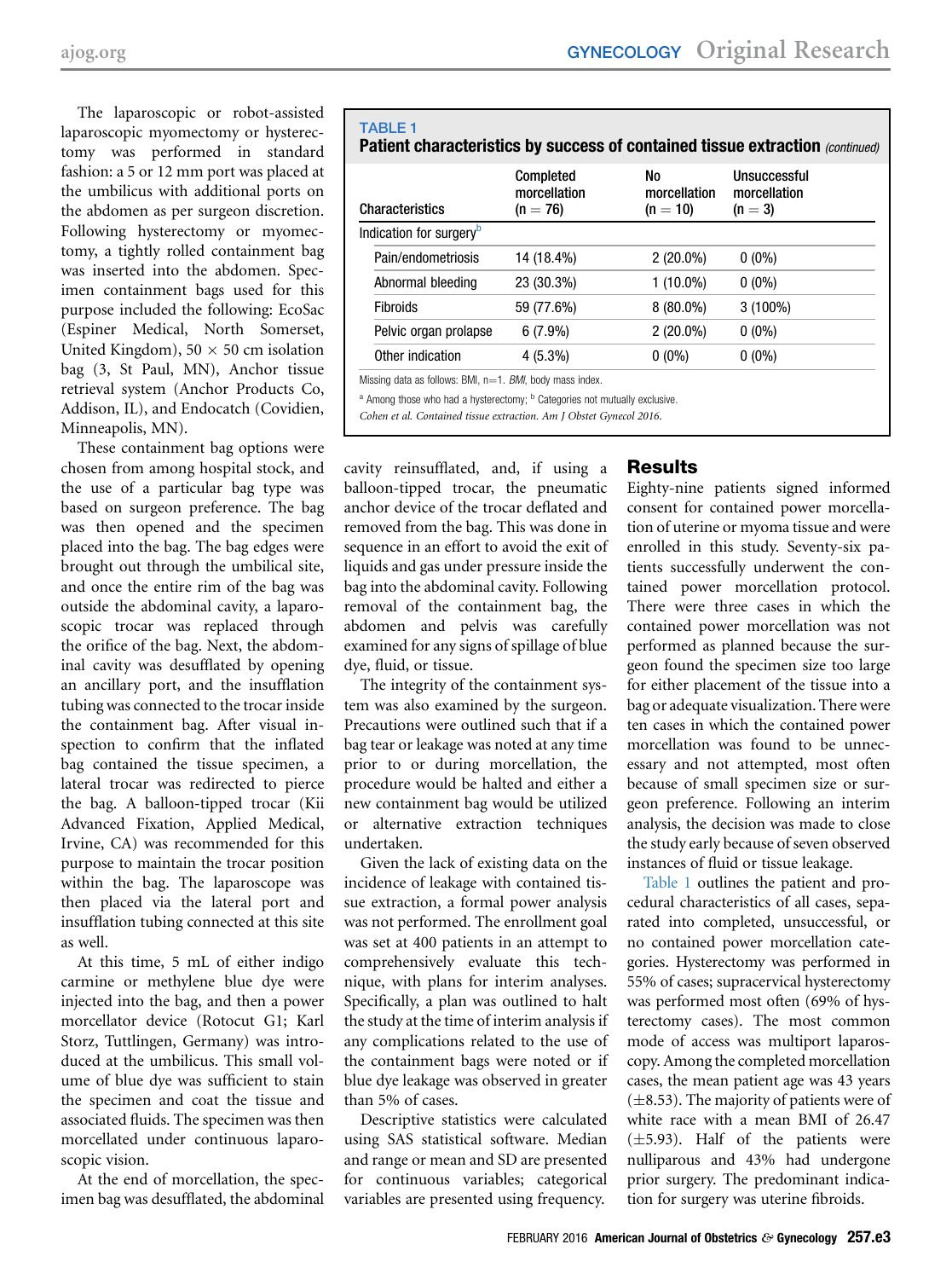<span id="page-2-0"></span>The laparoscopic or robot-assisted laparoscopic myomectomy or hysterectomy was performed in standard fashion: a 5 or 12 mm port was placed at the umbilicus with additional ports on the abdomen as per surgeon discretion. Following hysterectomy or myomectomy, a tightly rolled containment bag was inserted into the abdomen. Specimen containment bags used for this purpose included the following: EcoSac (Espiner Medical, North Somerset, United Kingdom),  $50 \times 50$  cm isolation bag (3, St Paul, MN), Anchor tissue retrieval system (Anchor Products Co, Addison, IL), and Endocatch (Covidien, Minneapolis, MN).

These containment bag options were chosen from among hospital stock, and the use of a particular bag type was based on surgeon preference. The bag was then opened and the specimen placed into the bag. The bag edges were brought out through the umbilical site, and once the entire rim of the bag was outside the abdominal cavity, a laparoscopic trocar was replaced through the orifice of the bag. Next, the abdominal cavity was desufflated by opening an ancillary port, and the insufflation tubing was connected to the trocar inside the containment bag. After visual inspection to confirm that the inflated bag contained the tissue specimen, a lateral trocar was redirected to pierce the bag. A balloon-tipped trocar (Kii Advanced Fixation, Applied Medical, Irvine, CA) was recommended for this purpose to maintain the trocar position within the bag. The laparoscope was then placed via the lateral port and insufflation tubing connected at this site as well.

At this time, 5 mL of either indigo carmine or methylene blue dye were injected into the bag, and then a power morcellator device (Rotocut G1; Karl Storz, Tuttlingen, Germany) was introduced at the umbilicus. This small volume of blue dye was sufficient to stain the specimen and coat the tissue and associated fluids. The specimen was then morcellated under continuous laparoscopic vision.

At the end of morcellation, the specimen bag was desufflated, the abdominal TABLE<sub>1</sub> Patient characteristics by success of contained tissue extraction (continued)

| <b>Characteristics</b>              | Completed<br>morcellation<br>$(n = 76)$ | No<br>morcellation<br>$(n = 10)$ | Unsuccessful<br>morcellation<br>$(n=3)$ |
|-------------------------------------|-----------------------------------------|----------------------------------|-----------------------------------------|
| Indication for surgery <sup>b</sup> |                                         |                                  |                                         |
| Pain/endometriosis                  | 14 (18.4%)                              | $2(20.0\%)$                      | $0(0\%)$                                |
| Abnormal bleeding                   | 23 (30.3%)                              | $1(10.0\%)$                      | $0(0\%)$                                |
| <b>Fibroids</b>                     | 59 (77.6%)                              | $8(80.0\%)$                      | $3(100\%)$                              |
| Pelvic organ prolapse               | $6(7.9\%)$                              | $2(20.0\%)$                      | $0(0\%)$                                |
| Other indication                    | $4(5.3\%)$                              | $0(0\%)$                         | $0(0\%)$                                |

Missing data as follows: BMI,  $n=1$ . BMI, body mass index.

<sup>a</sup> Among those who had a hysterectomy; <sup>b</sup> Categories not mutually exclusive.

Cohen et al. Contained tissue extraction. Am J Obstet Gynecol 2016.

cavity reinsufflated, and, if using a balloon-tipped trocar, the pneumatic anchor device of the trocar deflated and removed from the bag. This was done in sequence in an effort to avoid the exit of liquids and gas under pressure inside the bag into the abdominal cavity. Following removal of the containment bag, the abdomen and pelvis was carefully examined for any signs of spillage of blue dye, fluid, or tissue.

The integrity of the containment system was also examined by the surgeon. Precautions were outlined such that if a bag tear or leakage was noted at any time prior to or during morcellation, the procedure would be halted and either a new containment bag would be utilized or alternative extraction techniques undertaken.

Given the lack of existing data on the incidence of leakage with contained tissue extraction, a formal power analysis was not performed. The enrollment goal was set at 400 patients in an attempt to comprehensively evaluate this technique, with plans for interim analyses. Specifically, a plan was outlined to halt the study at the time of interim analysis if any complications related to the use of the containment bags were noted or if blue dye leakage was observed in greater than 5% of cases.

Descriptive statistics were calculated using SAS statistical software. Median and range or mean and SD are presented for continuous variables; categorical variables are presented using frequency.

# Results

Eighty-nine patients signed informed consent for contained power morcellation of uterine or myoma tissue and were enrolled in this study. Seventy-six patients successfully underwent the contained power morcellation protocol. There were three cases in which the contained power morcellation was not performed as planned because the surgeon found the specimen size too large for either placement of the tissue into a bag or adequate visualization. There were ten cases in which the contained power morcellation was found to be unnecessary and not attempted, most often because of small specimen size or surgeon preference. Following an interim analysis, the decision was made to close the study early because of seven observed instances of fluid or tissue leakage.

[Table 1](#page-1-0) outlines the patient and procedural characteristics of all cases, separated into completed, unsuccessful, or no contained power morcellation categories. Hysterectomy was performed in 55% of cases; supracervical hysterectomy was performed most often (69% of hysterectomy cases). The most common mode of access was multiport laparoscopy. Among the completed morcellation cases, the mean patient age was 43 years  $(\pm 8.53)$ . The majority of patients were of white race with a mean BMI of 26.47  $(\pm 5.93)$ . Half of the patients were nulliparous and 43% had undergone prior surgery. The predominant indication for surgery was uterine fibroids.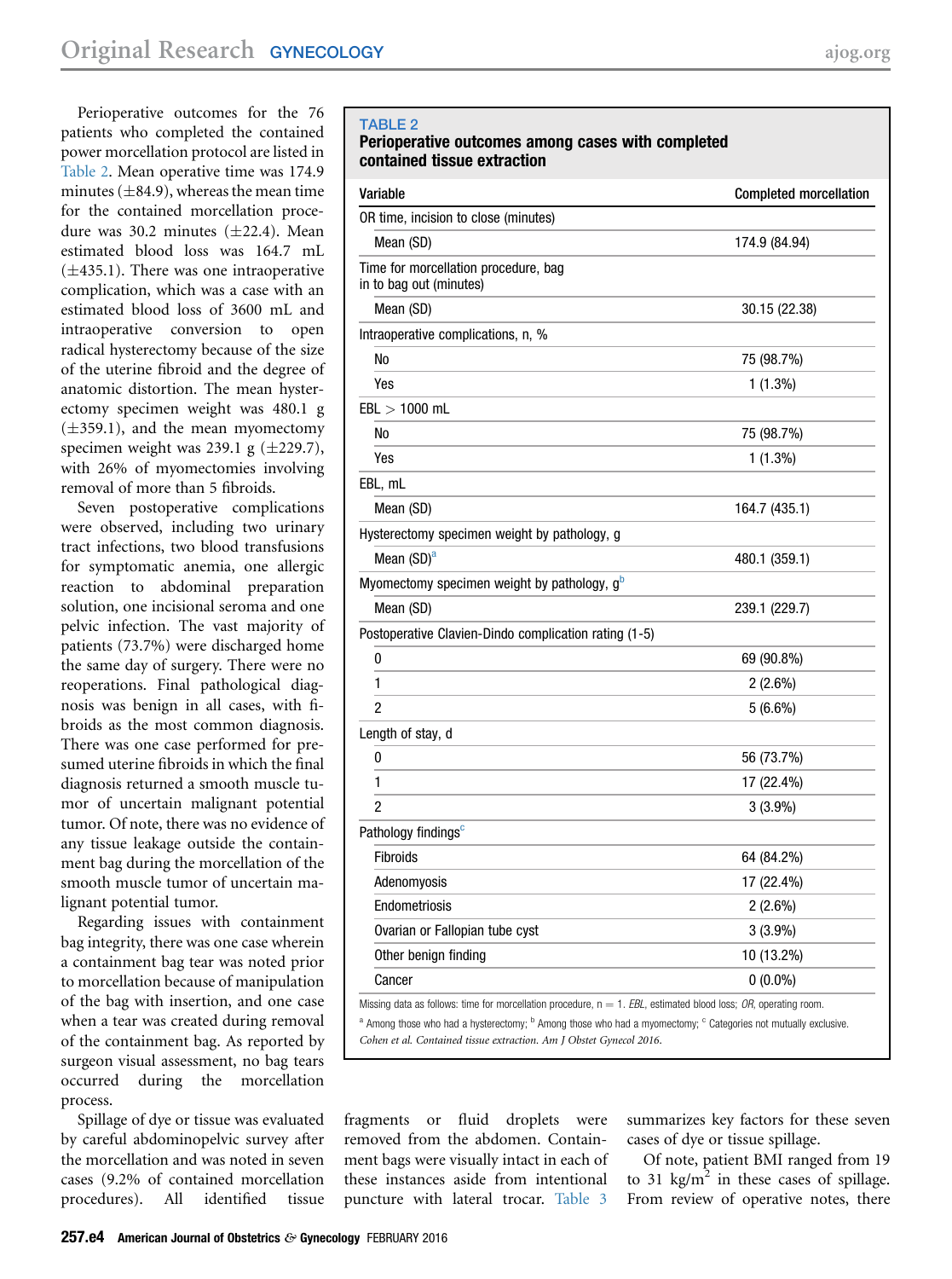Perioperative outcomes for the 76 patients who completed the contained power morcellation protocol are listed in Table 2. Mean operative time was 174.9 minutes  $(\pm 84.9)$ , whereas the mean time for the contained morcellation procedure was 30.2 minutes  $(\pm 22.4)$ . Mean estimated blood loss was 164.7 mL  $(\pm 435.1)$ . There was one intraoperative complication, which was a case with an estimated blood loss of 3600 mL and intraoperative conversion to open radical hysterectomy because of the size of the uterine fibroid and the degree of anatomic distortion. The mean hysterectomy specimen weight was 480.1 g  $(\pm 359.1)$ , and the mean myomectomy specimen weight was 239.1 g  $(\pm 229.7)$ , with 26% of myomectomies involving removal of more than 5 fibroids.

Seven postoperative complications were observed, including two urinary tract infections, two blood transfusions for symptomatic anemia, one allergic reaction to abdominal preparation solution, one incisional seroma and one pelvic infection. The vast majority of patients (73.7%) were discharged home the same day of surgery. There were no reoperations. Final pathological diagnosis was benign in all cases, with fibroids as the most common diagnosis. There was one case performed for presumed uterine fibroids in which the final diagnosis returned a smooth muscle tumor of uncertain malignant potential tumor. Of note, there was no evidence of any tissue leakage outside the containment bag during the morcellation of the smooth muscle tumor of uncertain malignant potential tumor.

Regarding issues with containment bag integrity, there was one case wherein a containment bag tear was noted prior to morcellation because of manipulation of the bag with insertion, and one case when a tear was created during removal of the containment bag. As reported by surgeon visual assessment, no bag tears occurred during the morcellation process.

Spillage of dye or tissue was evaluated by careful abdominopelvic survey after the morcellation and was noted in seven cases (9.2% of contained morcellation procedures). All identified tissue

### TABLE 2

## Perioperative outcomes among cases with completed contained tissue extraction

| Variable                                                                                                           | <b>Completed morcellation</b> |
|--------------------------------------------------------------------------------------------------------------------|-------------------------------|
| OR time, incision to close (minutes)                                                                               |                               |
| Mean (SD)                                                                                                          | 174.9 (84.94)                 |
| Time for morcellation procedure, bag<br>in to bag out (minutes)                                                    |                               |
| Mean (SD)                                                                                                          | 30.15 (22.38)                 |
| Intraoperative complications, n, %                                                                                 |                               |
| N <sub>0</sub>                                                                                                     | 75 (98.7%)                    |
| Yes                                                                                                                | $1(1.3\%)$                    |
| $EBL > 1000$ mL                                                                                                    |                               |
| No                                                                                                                 | 75 (98.7%)                    |
| Yes                                                                                                                | $1(1.3\%)$                    |
| EBL, mL                                                                                                            |                               |
| Mean (SD)                                                                                                          | 164.7 (435.1)                 |
| Hysterectomy specimen weight by pathology, g                                                                       |                               |
| Mean (SD) <sup>a</sup>                                                                                             | 480.1 (359.1)                 |
| Myomectomy specimen weight by pathology, $g^b$                                                                     |                               |
| Mean (SD)                                                                                                          | 239.1 (229.7)                 |
| Postoperative Clavien-Dindo complication rating (1-5)                                                              |                               |
| 0                                                                                                                  | 69 (90.8%)                    |
| 1                                                                                                                  | 2 (2.6%)                      |
| 2                                                                                                                  | 5(6.6%)                       |
| Length of stay, d                                                                                                  |                               |
| 0                                                                                                                  | 56 (73.7%)                    |
| 1                                                                                                                  | 17 (22.4%)                    |
| 2                                                                                                                  | $3(3.9\%)$                    |
| Pathology findings <sup>c</sup>                                                                                    |                               |
| Fibroids                                                                                                           | 64 (84.2%)                    |
| Adenomyosis                                                                                                        | 17 (22.4%)                    |
| Endometriosis                                                                                                      | $2(2.6\%)$                    |
| Ovarian or Fallopian tube cyst                                                                                     | $3(3.9\%)$                    |
| Other benign finding                                                                                               | 10 (13.2%)                    |
| Cancer                                                                                                             | $0(0.0\%)$                    |
| Missing data as follows: time for morcellation procedure, $n = 1$ . EBL, estimated blood loss; OR, operating room. |                               |

<sup>a</sup> Among those who had a hysterectomy; <sup>b</sup> Among those who had a myomectomy; <sup>c</sup> Categories not mutually exclusive.

Cohen et al. Contained tissue extraction. Am J Obstet Gynecol 2016.

fragments or fluid droplets were removed from the abdomen. Containment bags were visually intact in each of these instances aside from intentional puncture with lateral trocar. [Table 3](#page-4-0)

summarizes key factors for these seven cases of dye or tissue spillage.

Of note, patient BMI ranged from 19 to 31 kg/m<sup>2</sup> in these cases of spillage. From review of operative notes, there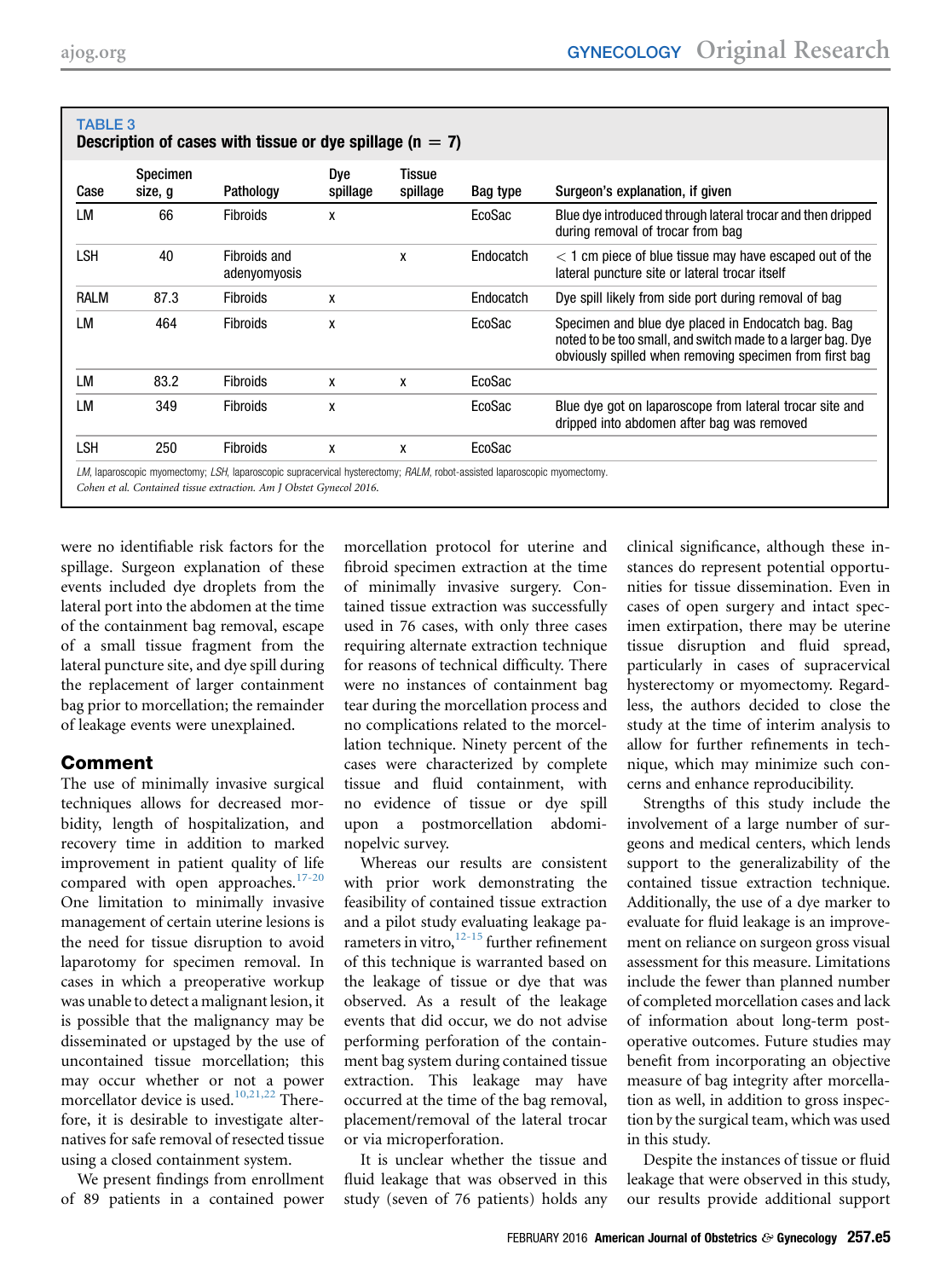<span id="page-4-0"></span>

| Case        | <b>Specimen</b><br>size, g | Pathology                    | Dye<br>spillage | Tissue<br>spillage | Bag type  | Surgeon's explanation, if given                                                                                                                                              |
|-------------|----------------------------|------------------------------|-----------------|--------------------|-----------|------------------------------------------------------------------------------------------------------------------------------------------------------------------------------|
| LM          | 66                         | <b>Fibroids</b>              | x               |                    | EcoSac    | Blue dye introduced through lateral trocar and then dripped<br>during removal of trocar from bag                                                                             |
| <b>LSH</b>  | 40                         | Fibroids and<br>adenyomyosis |                 | X                  | Endocatch | $<$ 1 cm piece of blue tissue may have escaped out of the<br>lateral puncture site or lateral trocar itself                                                                  |
| <b>RALM</b> | 87.3                       | <b>Fibroids</b>              | x               |                    | Endocatch | Dye spill likely from side port during removal of bag                                                                                                                        |
| LM          | 464                        | <b>Fibroids</b>              | X               |                    | EcoSac    | Specimen and blue dye placed in Endocatch bag. Bag<br>noted to be too small, and switch made to a larger bag. Dye<br>obviously spilled when removing specimen from first bag |
| LM          | 83.2                       | <b>Fibroids</b>              | X               | X                  | EcoSac    |                                                                                                                                                                              |
| LM          | 349                        | <b>Fibroids</b>              | X               |                    | EcoSac    | Blue dye got on laparoscope from lateral trocar site and<br>dripped into abdomen after bag was removed                                                                       |
| LSH         | 250                        | <b>Fibroids</b>              | X               | X                  | EcoSac    |                                                                                                                                                                              |

were no identifiable risk factors for the spillage. Surgeon explanation of these events included dye droplets from the lateral port into the abdomen at the time of the containment bag removal, escape of a small tissue fragment from the lateral puncture site, and dye spill during the replacement of larger containment bag prior to morcellation; the remainder of leakage events were unexplained.

## Comment

The use of minimally invasive surgical techniques allows for decreased morbidity, length of hospitalization, and recovery time in addition to marked improvement in patient quality of life compared with open approaches.<sup>[17-20](#page-5-0)</sup> One limitation to minimally invasive management of certain uterine lesions is the need for tissue disruption to avoid laparotomy for specimen removal. In cases in which a preoperative workup was unable to detect a malignant lesion, it is possible that the malignancy may be disseminated or upstaged by the use of uncontained tissue morcellation; this may occur whether or not a power morcellator device is used.<sup>[10,21,22](#page-5-0)</sup> Therefore, it is desirable to investigate alternatives for safe removal of resected tissue using a closed containment system.

We present findings from enrollment of 89 patients in a contained power morcellation protocol for uterine and fibroid specimen extraction at the time of minimally invasive surgery. Contained tissue extraction was successfully used in 76 cases, with only three cases requiring alternate extraction technique for reasons of technical difficulty. There were no instances of containment bag tear during the morcellation process and no complications related to the morcellation technique. Ninety percent of the cases were characterized by complete tissue and fluid containment, with no evidence of tissue or dye spill upon a postmorcellation abdominopelvic survey.

Whereas our results are consistent with prior work demonstrating the feasibility of contained tissue extraction and a pilot study evaluating leakage parameters in vitro, $12-15$  further refinement of this technique is warranted based on the leakage of tissue or dye that was observed. As a result of the leakage events that did occur, we do not advise performing perforation of the containment bag system during contained tissue extraction. This leakage may have occurred at the time of the bag removal, placement/removal of the lateral trocar or via microperforation.

It is unclear whether the tissue and fluid leakage that was observed in this study (seven of 76 patients) holds any

clinical significance, although these instances do represent potential opportunities for tissue dissemination. Even in cases of open surgery and intact specimen extirpation, there may be uterine tissue disruption and fluid spread, particularly in cases of supracervical hysterectomy or myomectomy. Regardless, the authors decided to close the study at the time of interim analysis to allow for further refinements in technique, which may minimize such concerns and enhance reproducibility.

Strengths of this study include the involvement of a large number of surgeons and medical centers, which lends support to the generalizability of the contained tissue extraction technique. Additionally, the use of a dye marker to evaluate for fluid leakage is an improvement on reliance on surgeon gross visual assessment for this measure. Limitations include the fewer than planned number of completed morcellation cases and lack of information about long-term postoperative outcomes. Future studies may benefit from incorporating an objective measure of bag integrity after morcellation as well, in addition to gross inspection by the surgical team, which was used in this study.

Despite the instances of tissue or fluid leakage that were observed in this study, our results provide additional support